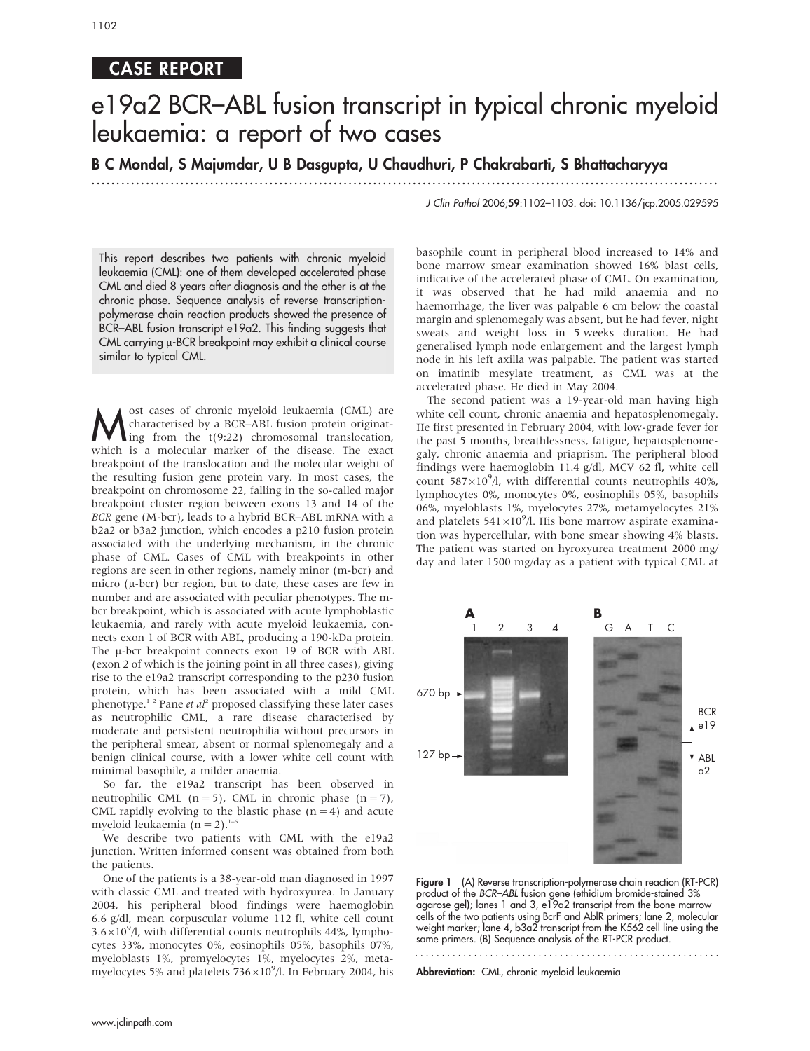## CASE REPORT

# e19a2 BCR–ABL fusion transcript in typical chronic myeloid leukaemia: a report of two cases

B C Mondal, S Majumdar, U B Dasgupta, U Chaudhuri, P Chakrabarti, S Bhattacharyya

............................................................... ............................................................... .

This report describes two patients with chronic myeloid leukaemia (CML): one of them developed accelerated phase CML and died 8 years after diagnosis and the other is at the chronic phase. Sequence analysis of reverse transcriptionpolymerase chain reaction products showed the presence of BCR–ABL fusion transcript e19a2. This finding suggests that CML carrying u-BCR breakpoint may exhibit a clinical course similar to typical CML.

Most cases of chronic myeloid leukaemia (CML) are<br>characterised by a BCR-ABL fusion protein originat-<br>ing from the t(9;22) chromosomal translocation,<br>which is a molecular marker of the diesese. The exact characterised by a BCR–ABL fusion protein originat- $\lim_{t \to \infty}$  from the t(9;22) chromosomal translocation, which is a molecular marker of the disease. The exact breakpoint of the translocation and the molecular weight of the resulting fusion gene protein vary. In most cases, the breakpoint on chromosome 22, falling in the so-called major breakpoint cluster region between exons 13 and 14 of the BCR gene (M-bcr), leads to a hybrid BCR–ABL mRNA with a b2a2 or b3a2 junction, which encodes a p210 fusion protein associated with the underlying mechanism, in the chronic phase of CML. Cases of CML with breakpoints in other regions are seen in other regions, namely minor (m-bcr) and micro  $(\mu$ -bcr) bcr region, but to date, these cases are few in number and are associated with peculiar phenotypes. The mbcr breakpoint, which is associated with acute lymphoblastic leukaemia, and rarely with acute myeloid leukaemia, connects exon 1 of BCR with ABL, producing a 190-kDa protein. The µ-bcr breakpoint connects exon 19 of BCR with ABL (exon 2 of which is the joining point in all three cases), giving rise to the e19a2 transcript corresponding to the p230 fusion protein, which has been associated with a mild CML phenotype.<sup>12</sup> Pane et al<sup>2</sup> proposed classifying these later cases as neutrophilic CML, a rare disease characterised by moderate and persistent neutrophilia without precursors in the peripheral smear, absent or normal splenomegaly and a benign clinical course, with a lower white cell count with minimal basophile, a milder anaemia.

So far, the e19a2 transcript has been observed in neutrophilic CML ( $n = 5$ ), CML in chronic phase ( $n = 7$ ), CML rapidly evolving to the blastic phase  $(n = 4)$  and acute myeloid leukaemia (n = 2). $1-6$ 

We describe two patients with CML with the e19a2 junction. Written informed consent was obtained from both the patients.

One of the patients is a 38-year-old man diagnosed in 1997 with classic CML and treated with hydroxyurea. In January 2004, his peripheral blood findings were haemoglobin 6.6 g/dl, mean corpuscular volume 112 fl, white cell count  $3.6\times10^{9}$ /l, with differential counts neutrophils 44%, lymphocytes 33%, monocytes 0%, eosinophils 05%, basophils 07%, myeloblasts 1%, promyelocytes 1%, myelocytes 2%, metamyelocytes 5% and platelets  $736\times10^9$ /l. In February 2004, his

J Clin Pathol 2006;59:1102–1103. doi: 10.1136/jcp.2005.029595

basophile count in peripheral blood increased to 14% and bone marrow smear examination showed 16% blast cells, indicative of the accelerated phase of CML. On examination, it was observed that he had mild anaemia and no haemorrhage, the liver was palpable 6 cm below the coastal margin and splenomegaly was absent, but he had fever, night sweats and weight loss in 5 weeks duration. He had generalised lymph node enlargement and the largest lymph node in his left axilla was palpable. The patient was started on imatinib mesylate treatment, as CML was at the accelerated phase. He died in May 2004.

The second patient was a 19-year-old man having high white cell count, chronic anaemia and hepatosplenomegaly. He first presented in February 2004, with low-grade fever for the past 5 months, breathlessness, fatigue, hepatosplenomegaly, chronic anaemia and priaprism. The peripheral blood findings were haemoglobin 11.4 g/dl, MCV 62 fl, white cell count  $587\times10^{9}$ /l, with differential counts neutrophils 40%, lymphocytes 0%, monocytes 0%, eosinophils 05%, basophils 06%, myeloblasts 1%, myelocytes 27%, metamyelocytes 21% and platelets  $541\times10^{9}$ /l. His bone marrow aspirate examination was hypercellular, with bone smear showing 4% blasts. The patient was started on hyroxyurea treatment 2000 mg/ day and later 1500 mg/day as a patient with typical CML at



Figure 1 (A) Reverse transcription-polymerase chain reaction (RT-PCR) product of the BCR–ABL fusion gene (ethidium bromide-stained 3% agarose gel); lanes 1 and 3, e19a2 transcript from the bone marrow cells of the two patients using BcrF and AblR primers; lane 2, molecular weight marker; lane 4, b3a2 transcript from the K562 cell line using the same primers. (B) Sequence analysis of the RT-PCR product.

Abbreviation: CML, chronic myeloid leukaemia